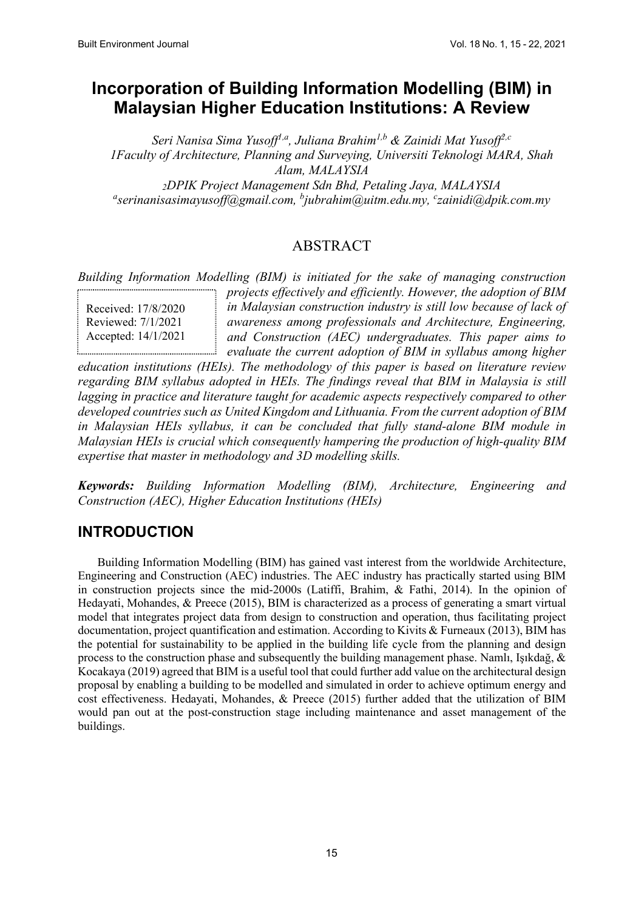# **Incorporation of Building Information Modelling (BIM) in Malaysian Higher Education Institutions: A Review**

*Seri Nanisa Sima Yusoff1,a, Juliana Brahim1,b & Zainidi Mat Yusoff2,c 1Faculty of Architecture, Planning and Surveying, Universiti Teknologi MARA, Shah Alam, MALAYSIA 2DPIK Project Management Sdn Bhd, Petaling Jaya, MALAYSIA a serinanisasimayusoff@gmail.com, b jubrahim@uitm.edu.my, c zainidi@dpik.com.my* 

### ABSTRACT

*Building Information Modelling (BIM) is initiated for the sake of managing construction* 

Received: 17/8/2020 Reviewed: 7/1/2021 Accepted: 14/1/2021

*projects effectively and efficiently. However, the adoption of BIM in Malaysian construction industry is still low because of lack of awareness among professionals and Architecture, Engineering, and Construction (AEC) undergraduates. This paper aims to evaluate the current adoption of BIM in syllabus among higher* 

*education institutions (HEIs). The methodology of this paper is based on literature review regarding BIM syllabus adopted in HEIs. The findings reveal that BIM in Malaysia is still lagging in practice and literature taught for academic aspects respectively compared to other developed countries such as United Kingdom and Lithuania. From the current adoption of BIM in Malaysian HEIs syllabus, it can be concluded that fully stand-alone BIM module in Malaysian HEIs is crucial which consequently hampering the production of high-quality BIM expertise that master in methodology and 3D modelling skills.*

*Keywords: Building Information Modelling (BIM), Architecture, Engineering and Construction (AEC), Higher Education Institutions (HEIs)*

## **INTRODUCTION**

Building Information Modelling (BIM) has gained vast interest from the worldwide Architecture, Engineering and Construction (AEC) industries. The AEC industry has practically started using BIM in construction projects since the mid-2000s (Latiffi, Brahim, & Fathi, 2014). In the opinion of Hedayati, Mohandes, & Preece (2015), BIM is characterized as a process of generating a smart virtual model that integrates project data from design to construction and operation, thus facilitating project documentation, project quantification and estimation. According to Kivits & Furneaux (2013), BIM has the potential for sustainability to be applied in the building life cycle from the planning and design process to the construction phase and subsequently the building management phase. Namlı, Işıkdağ, & Kocakaya (2019) agreed that BIM is a useful tool that could further add value on the architectural design proposal by enabling a building to be modelled and simulated in order to achieve optimum energy and cost effectiveness. Hedayati, Mohandes, & Preece (2015) further added that the utilization of BIM would pan out at the post-construction stage including maintenance and asset management of the buildings.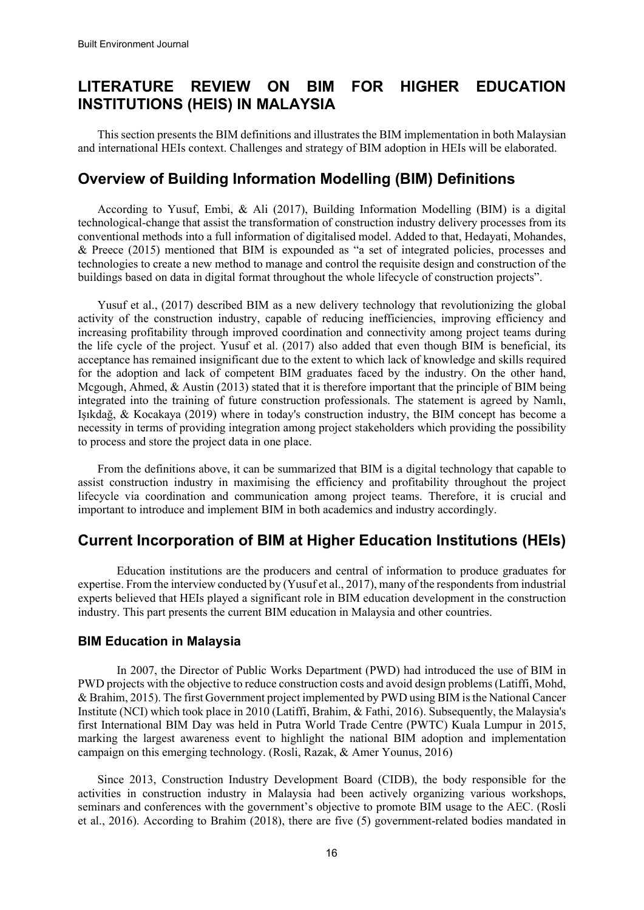## **LITERATURE REVIEW ON BIM FOR HIGHER EDUCATION INSTITUTIONS (HEIS) IN MALAYSIA**

This section presents the BIM definitions and illustrates the BIM implementation in both Malaysian and international HEIs context. Challenges and strategy of BIM adoption in HEIs will be elaborated.

## **Overview of Building Information Modelling (BIM) Definitions**

According to Yusuf, Embi, & Ali (2017), Building Information Modelling (BIM) is a digital technological-change that assist the transformation of construction industry delivery processes from its conventional methods into a full information of digitalised model. Added to that, Hedayati, Mohandes, & Preece (2015) mentioned that BIM is expounded as "a set of integrated policies, processes and technologies to create a new method to manage and control the requisite design and construction of the buildings based on data in digital format throughout the whole lifecycle of construction projects".

Yusuf et al., (2017) described BIM as a new delivery technology that revolutionizing the global activity of the construction industry, capable of reducing inefficiencies, improving efficiency and increasing profitability through improved coordination and connectivity among project teams during the life cycle of the project. Yusuf et al. (2017) also added that even though BIM is beneficial, its acceptance has remained insignificant due to the extent to which lack of knowledge and skills required for the adoption and lack of competent BIM graduates faced by the industry. On the other hand, Mcgough, Ahmed, & Austin (2013) stated that it is therefore important that the principle of BIM being integrated into the training of future construction professionals. The statement is agreed by Namlı, Işıkdağ, & Kocakaya (2019) where in today's construction industry, the BIM concept has become a necessity in terms of providing integration among project stakeholders which providing the possibility to process and store the project data in one place.

From the definitions above, it can be summarized that BIM is a digital technology that capable to assist construction industry in maximising the efficiency and profitability throughout the project lifecycle via coordination and communication among project teams. Therefore, it is crucial and important to introduce and implement BIM in both academics and industry accordingly.

## **Current Incorporation of BIM at Higher Education Institutions (HEIs)**

Education institutions are the producers and central of information to produce graduates for expertise. From the interview conducted by (Yusuf et al., 2017), many of the respondents from industrial experts believed that HEIs played a significant role in BIM education development in the construction industry. This part presents the current BIM education in Malaysia and other countries.

#### **BIM Education in Malaysia**

In 2007, the Director of Public Works Department (PWD) had introduced the use of BIM in PWD projects with the objective to reduce construction costs and avoid design problems (Latiffi, Mohd, & Brahim, 2015). The first Government project implemented by PWD using BIM is the National Cancer Institute (NCI) which took place in 2010 (Latiffi, Brahim, & Fathi, 2016). Subsequently, the Malaysia's first International BIM Day was held in Putra World Trade Centre (PWTC) Kuala Lumpur in 2015, marking the largest awareness event to highlight the national BIM adoption and implementation campaign on this emerging technology. (Rosli, Razak, & Amer Younus, 2016)

Since 2013, Construction Industry Development Board (CIDB), the body responsible for the activities in construction industry in Malaysia had been actively organizing various workshops, seminars and conferences with the government's objective to promote BIM usage to the AEC. (Rosli et al., 2016). According to Brahim (2018), there are five (5) government-related bodies mandated in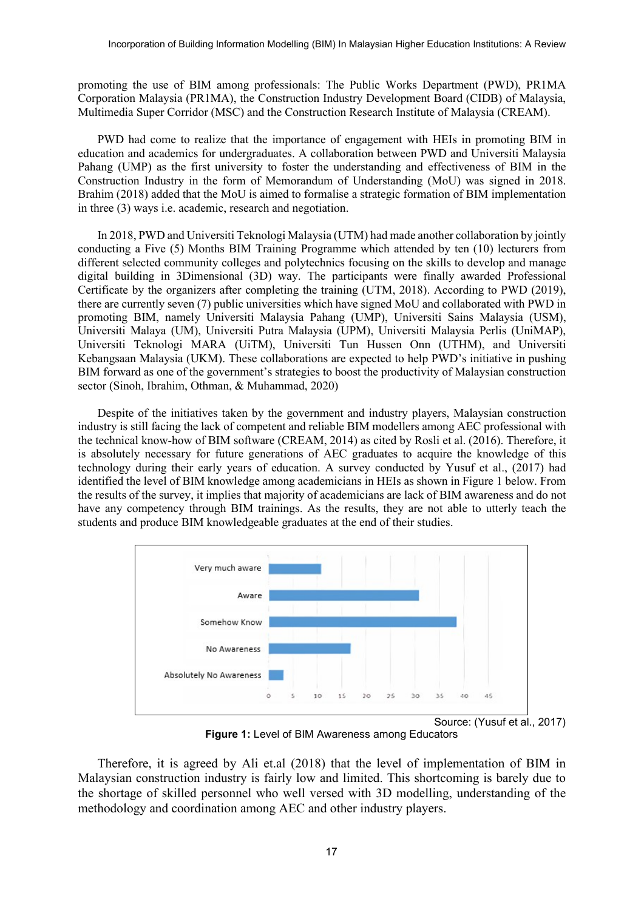promoting the use of BIM among professionals: The Public Works Department (PWD), PR1MA Corporation Malaysia (PR1MA), the Construction Industry Development Board (CIDB) of Malaysia, Multimedia Super Corridor (MSC) and the Construction Research Institute of Malaysia (CREAM).

PWD had come to realize that the importance of engagement with HEIs in promoting BIM in education and academics for undergraduates. A collaboration between PWD and Universiti Malaysia Pahang (UMP) as the first university to foster the understanding and effectiveness of BIM in the Construction Industry in the form of Memorandum of Understanding (MoU) was signed in 2018. Brahim (2018) added that the MoU is aimed to formalise a strategic formation of BIM implementation in three (3) ways i.e. academic, research and negotiation.

In 2018, PWD and Universiti Teknologi Malaysia (UTM) had made another collaboration by jointly conducting a Five (5) Months BIM Training Programme which attended by ten (10) lecturers from different selected community colleges and polytechnics focusing on the skills to develop and manage digital building in 3Dimensional (3D) way. The participants were finally awarded Professional Certificate by the organizers after completing the training (UTM, 2018). According to PWD (2019), there are currently seven (7) public universities which have signed MoU and collaborated with PWD in promoting BIM, namely Universiti Malaysia Pahang (UMP), Universiti Sains Malaysia (USM), Universiti Malaya (UM), Universiti Putra Malaysia (UPM), Universiti Malaysia Perlis (UniMAP), Universiti Teknologi MARA (UiTM), Universiti Tun Hussen Onn (UTHM), and Universiti Kebangsaan Malaysia (UKM). These collaborations are expected to help PWD's initiative in pushing BIM forward as one of the government's strategies to boost the productivity of Malaysian construction sector (Sinoh, Ibrahim, Othman, & Muhammad, 2020)

Despite of the initiatives taken by the government and industry players, Malaysian construction industry is still facing the lack of competent and reliable BIM modellers among AEC professional with the technical know-how of BIM software (CREAM, 2014) as cited by Rosli et al. (2016). Therefore, it is absolutely necessary for future generations of AEC graduates to acquire the knowledge of this technology during their early years of education. A survey conducted by Yusuf et al., (2017) had identified the level of BIM knowledge among academicians in HEIs as shown in Figure 1 below. From the results of the survey, it implies that majority of academicians are lack of BIM awareness and do not have any competency through BIM trainings. As the results, they are not able to utterly teach the students and produce BIM knowledgeable graduates at the end of their studies.



**Figure 1:** Level of BIM Awareness among Educators

Therefore, it is agreed by Ali et.al (2018) that the level of implementation of BIM in Malaysian construction industry is fairly low and limited. This shortcoming is barely due to the shortage of skilled personnel who well versed with 3D modelling, understanding of the methodology and coordination among AEC and other industry players.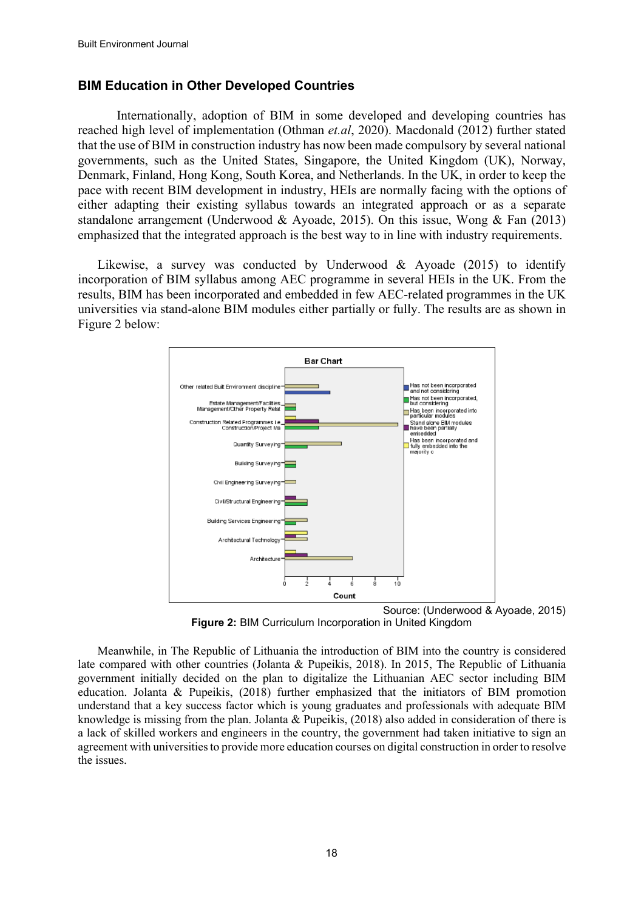#### **BIM Education in Other Developed Countries**

Internationally, adoption of BIM in some developed and developing countries has reached high level of implementation (Othman *et.al*, 2020). Macdonald (2012) further stated that the use of BIM in construction industry has now been made compulsory by several national governments, such as the United States, Singapore, the United Kingdom (UK), Norway, Denmark, Finland, Hong Kong, South Korea, and Netherlands. In the UK, in order to keep the pace with recent BIM development in industry, HEIs are normally facing with the options of either adapting their existing syllabus towards an integrated approach or as a separate standalone arrangement (Underwood & Ayoade, 2015). On this issue, Wong & Fan (2013) emphasized that the integrated approach is the best way to in line with industry requirements.

Likewise, a survey was conducted by Underwood & Ayoade (2015) to identify incorporation of BIM syllabus among AEC programme in several HEIs in the UK. From the results, BIM has been incorporated and embedded in few AEC-related programmes in the UK universities via stand-alone BIM modules either partially or fully. The results are as shown in Figure 2 below:



Source: (Underwood & Ayoade, 2015) **Figure 2:** BIM Curriculum Incorporation in United Kingdom

Meanwhile, in The Republic of Lithuania the introduction of BIM into the country is considered late compared with other countries (Jolanta & Pupeikis, 2018). In 2015, The Republic of Lithuania government initially decided on the plan to digitalize the Lithuanian AEC sector including BIM education. Jolanta & Pupeikis, (2018) further emphasized that the initiators of BIM promotion understand that a key success factor which is young graduates and professionals with adequate BIM knowledge is missing from the plan. Jolanta & Pupeikis, (2018) also added in consideration of there is a lack of skilled workers and engineers in the country, the government had taken initiative to sign an agreement with universities to provide more education courses on digital construction in order to resolve the issues.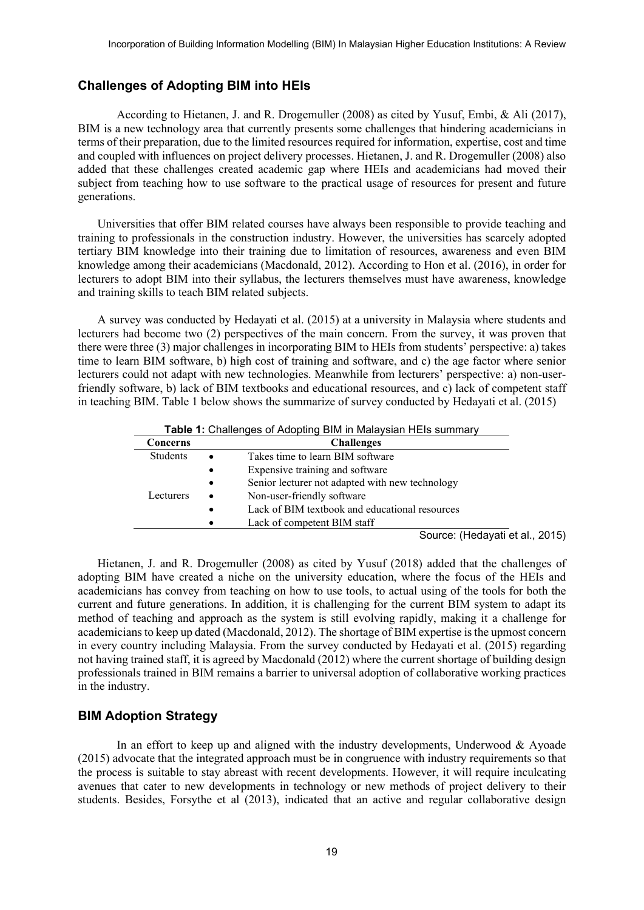#### **Challenges of Adopting BIM into HEIs**

According to Hietanen, J. and R. Drogemuller (2008) as cited by Yusuf, Embi, & Ali (2017), BIM is a new technology area that currently presents some challenges that hindering academicians in terms of their preparation, due to the limited resources required for information, expertise, cost and time and coupled with influences on project delivery processes. Hietanen, J. and R. Drogemuller (2008) also added that these challenges created academic gap where HEIs and academicians had moved their subject from teaching how to use software to the practical usage of resources for present and future generations.

Universities that offer BIM related courses have always been responsible to provide teaching and training to professionals in the construction industry. However, the universities has scarcely adopted tertiary BIM knowledge into their training due to limitation of resources, awareness and even BIM knowledge among their academicians (Macdonald, 2012). According to Hon et al. (2016), in order for lecturers to adopt BIM into their syllabus, the lecturers themselves must have awareness, knowledge and training skills to teach BIM related subjects.

A survey was conducted by Hedayati et al. (2015) at a university in Malaysia where students and lecturers had become two (2) perspectives of the main concern. From the survey, it was proven that there were three (3) major challenges in incorporating BIM to HEIs from students' perspective: a) takes time to learn BIM software, b) high cost of training and software, and c) the age factor where senior lecturers could not adapt with new technologies. Meanwhile from lecturers' perspective: a) non-userfriendly software, b) lack of BIM textbooks and educational resources, and c) lack of competent staff in teaching BIM. Table 1 below shows the summarize of survey conducted by Hedayati et al. (2015)

|           | <b>Table 1:</b> Challenges of Adopting BIM in Malaysian HEIs summary |
|-----------|----------------------------------------------------------------------|
| Concerns  | <b>Challenges</b>                                                    |
| Students  | Takes time to learn BIM software                                     |
|           | Expensive training and software<br>$\bullet$                         |
|           | Senior lecturer not adapted with new technology<br>$\bullet$         |
| Lecturers | Non-user-friendly software<br>$\bullet$                              |
|           | Lack of BIM textbook and educational resources<br>$\bullet$          |
|           | Lack of competent BIM staff                                          |
|           | Source: (Hedayati et al., 2015)                                      |

Hietanen, J. and R. Drogemuller (2008) as cited by Yusuf (2018) added that the challenges of adopting BIM have created a niche on the university education, where the focus of the HEIs and academicians has convey from teaching on how to use tools, to actual using of the tools for both the current and future generations. In addition, it is challenging for the current BIM system to adapt its method of teaching and approach as the system is still evolving rapidly, making it a challenge for academicians to keep up dated (Macdonald, 2012). The shortage of BIM expertise is the upmost concern in every country including Malaysia. From the survey conducted by Hedayati et al. (2015) regarding not having trained staff, it is agreed by Macdonald (2012) where the current shortage of building design professionals trained in BIM remains a barrier to universal adoption of collaborative working practices

#### **BIM Adoption Strategy**

in the industry.

In an effort to keep up and aligned with the industry developments, Underwood  $\&$  Ayoade (2015) advocate that the integrated approach must be in congruence with industry requirements so that the process is suitable to stay abreast with recent developments. However, it will require inculcating avenues that cater to new developments in technology or new methods of project delivery to their students. Besides, Forsythe et al (2013), indicated that an active and regular collaborative design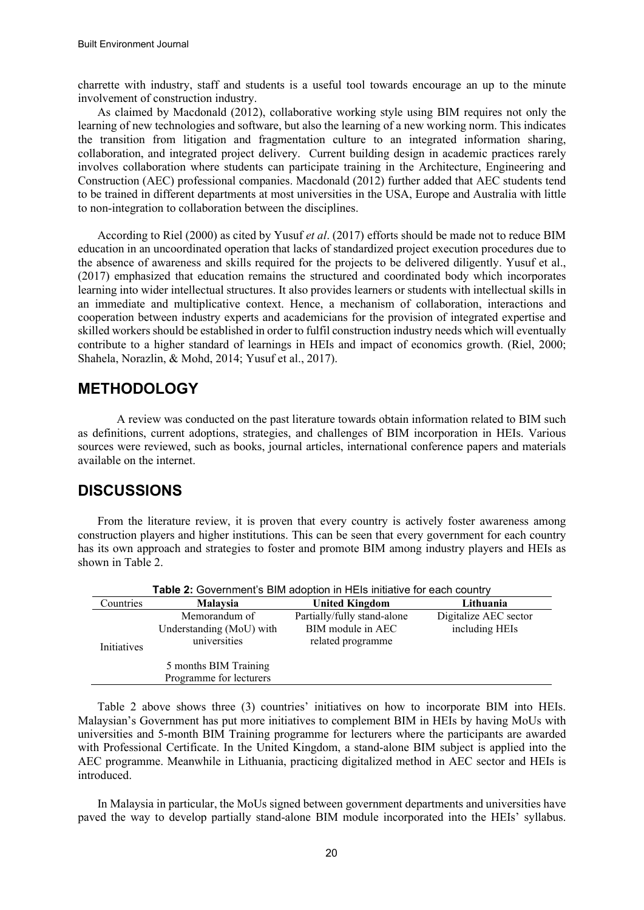charrette with industry, staff and students is a useful tool towards encourage an up to the minute involvement of construction industry.

As claimed by Macdonald (2012), collaborative working style using BIM requires not only the learning of new technologies and software, but also the learning of a new working norm. This indicates the transition from litigation and fragmentation culture to an integrated information sharing, collaboration, and integrated project delivery. Current building design in academic practices rarely involves collaboration where students can participate training in the Architecture, Engineering and Construction (AEC) professional companies. Macdonald (2012) further added that AEC students tend to be trained in different departments at most universities in the USA, Europe and Australia with little to non-integration to collaboration between the disciplines.

According to Riel (2000) as cited by Yusuf *et al*. (2017) efforts should be made not to reduce BIM education in an uncoordinated operation that lacks of standardized project execution procedures due to the absence of awareness and skills required for the projects to be delivered diligently. Yusuf et al., (2017) emphasized that education remains the structured and coordinated body which incorporates learning into wider intellectual structures. It also provides learners or students with intellectual skills in an immediate and multiplicative context. Hence, a mechanism of collaboration, interactions and cooperation between industry experts and academicians for the provision of integrated expertise and skilled workers should be established in order to fulfil construction industry needs which will eventually contribute to a higher standard of learnings in HEIs and impact of economics growth. (Riel, 2000; Shahela, Norazlin, & Mohd, 2014; Yusuf et al., 2017).

## **METHODOLOGY**

A review was conducted on the past literature towards obtain information related to BIM such as definitions, current adoptions, strategies, and challenges of BIM incorporation in HEIs. Various sources were reviewed, such as books, journal articles, international conference papers and materials available on the internet.

## **DISCUSSIONS**

From the literature review, it is proven that every country is actively foster awareness among construction players and higher institutions. This can be seen that every government for each country has its own approach and strategies to foster and promote BIM among industry players and HEIs as shown in Table 2.

| Table 2: Government's BIM adoption in HEIs initiative for each country |                                                           |                                                                       |                                         |  |
|------------------------------------------------------------------------|-----------------------------------------------------------|-----------------------------------------------------------------------|-----------------------------------------|--|
| Countries                                                              | <b>Malaysia</b>                                           | <b>United Kingdom</b>                                                 | Lithuania                               |  |
| <b>Initiatives</b>                                                     | Memorandum of<br>Understanding (MoU) with<br>universities | Partially/fully stand-alone<br>BIM module in AEC<br>related programme | Digitalize AEC sector<br>including HEIs |  |
|                                                                        | 5 months BIM Training<br>Programme for lecturers          |                                                                       |                                         |  |

Table 2 above shows three (3) countries' initiatives on how to incorporate BIM into HEIs. Malaysian's Government has put more initiatives to complement BIM in HEIs by having MoUs with universities and 5-month BIM Training programme for lecturers where the participants are awarded with Professional Certificate. In the United Kingdom, a stand-alone BIM subject is applied into the AEC programme. Meanwhile in Lithuania, practicing digitalized method in AEC sector and HEIs is introduced.

In Malaysia in particular, the MoUs signed between government departments and universities have paved the way to develop partially stand-alone BIM module incorporated into the HEIs' syllabus.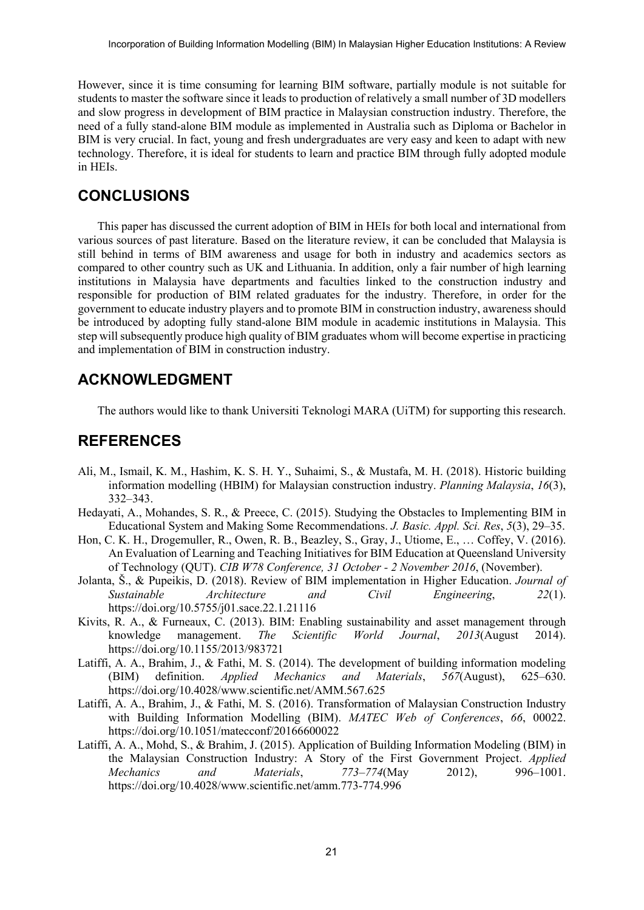However, since it is time consuming for learning BIM software, partially module is not suitable for students to master the software since it leads to production of relatively a small number of 3D modellers and slow progress in development of BIM practice in Malaysian construction industry. Therefore, the need of a fully stand-alone BIM module as implemented in Australia such as Diploma or Bachelor in BIM is very crucial. In fact, young and fresh undergraduates are very easy and keen to adapt with new technology. Therefore, it is ideal for students to learn and practice BIM through fully adopted module in HEIs.

### **CONCLUSIONS**

This paper has discussed the current adoption of BIM in HEIs for both local and international from various sources of past literature. Based on the literature review, it can be concluded that Malaysia is still behind in terms of BIM awareness and usage for both in industry and academics sectors as compared to other country such as UK and Lithuania. In addition, only a fair number of high learning institutions in Malaysia have departments and faculties linked to the construction industry and responsible for production of BIM related graduates for the industry. Therefore, in order for the government to educate industry players and to promote BIM in construction industry, awareness should be introduced by adopting fully stand-alone BIM module in academic institutions in Malaysia. This step will subsequently produce high quality of BIM graduates whom will become expertise in practicing and implementation of BIM in construction industry.

## **ACKNOWLEDGMENT**

The authors would like to thank Universiti Teknologi MARA (UiTM) for supporting this research.

## **REFERENCES**

- Ali, M., Ismail, K. M., Hashim, K. S. H. Y., Suhaimi, S., & Mustafa, M. H. (2018). Historic building information modelling (HBIM) for Malaysian construction industry. *Planning Malaysia*, *16*(3), 332–343.
- Hedayati, A., Mohandes, S. R., & Preece, C. (2015). Studying the Obstacles to Implementing BIM in Educational System and Making Some Recommendations. *J. Basic. Appl. Sci. Res*, *5*(3), 29–35.
- Hon, C. K. H., Drogemuller, R., Owen, R. B., Beazley, S., Gray, J., Utiome, E., … Coffey, V. (2016). An Evaluation of Learning and Teaching Initiatives for BIM Education at Queensland University of Technology (QUT). *CIB W78 Conference, 31 October - 2 November 2016*, (November).
- Jolanta, Š., & Pupeikis, D. (2018). Review of BIM implementation in Higher Education. *Journal of Sustainable Architecture and Civil Engineering*, *22*(1). https://doi.org/10.5755/j01.sace.22.1.21116
- Kivits, R. A., & Furneaux, C. (2013). BIM: Enabling sustainability and asset management through knowledge management. *The Scientific World Journal*, *2013*(August 2014). https://doi.org/10.1155/2013/983721
- Latiffi, A. A., Brahim, J., & Fathi, M. S. (2014). The development of building information modeling (BIM) definition. *Applied Mechanics and Materials*, *567*(August), 625–630. https://doi.org/10.4028/www.scientific.net/AMM.567.625
- Latiffi, A. A., Brahim, J., & Fathi, M. S. (2016). Transformation of Malaysian Construction Industry with Building Information Modelling (BIM). *MATEC Web of Conferences*, *66*, 00022. https://doi.org/10.1051/matecconf/20166600022
- Latiffi, A. A., Mohd, S., & Brahim, J. (2015). Application of Building Information Modeling (BIM) in the Malaysian Construction Industry: A Story of the First Government Project. *Applied Mechanics and Materials*, *773*–*774*(May 2012), 996–1001. https://doi.org/10.4028/www.scientific.net/amm.773-774.996